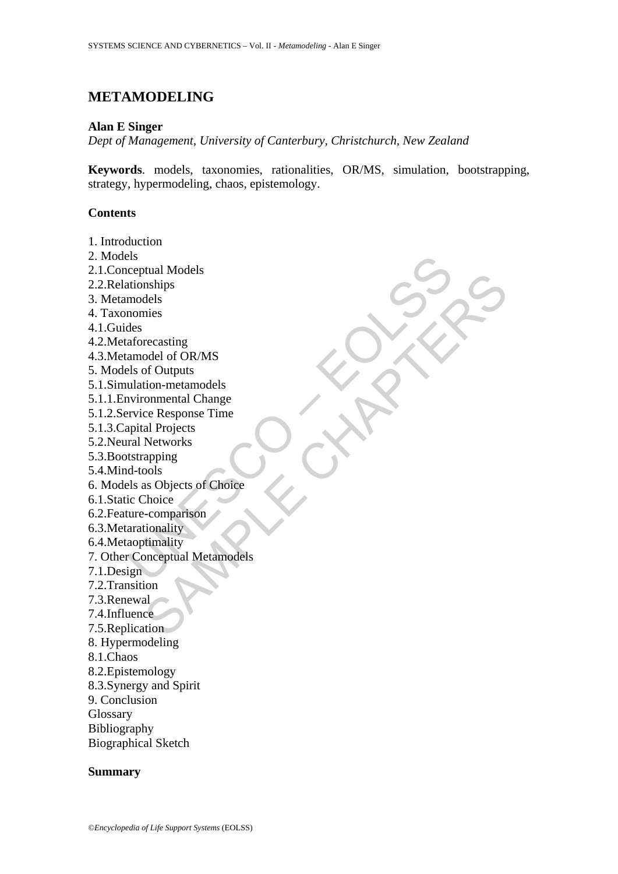# **METAMODELING**

#### **Alan E Singer**

*Dept of Management, University of Canterbury, Christchurch, New Zealand* 

**Keywords**. models, taxonomies, rationalities, OR/MS, simulation, bootstrapping, strategy, hypermodeling, chaos, epistemology.

### **Contents**

Parameterial Models<br>
Ceptual Models<br>
Intionships<br>
models<br>
nomies<br>
des<br>
aforecasting<br>
aforecasting<br>
als of Outputs<br>
ulation-metamodels<br>
vironmental Change<br>
vironmental Change<br>
vironmental Change<br>
vironships<br>
d-tools<br>
d-tool buan models<br>
mahing<br>
mahing<br>
receasting<br>
receasting<br>
receasting<br>
odel of OR/MS<br>
of Outputs<br>
onmental Change<br>
commental Change<br>
al Projects<br>
apping<br>
al Projects<br>
apping<br>
and Suppling<br>
cools<br>
thonic comparison<br>
tionality<br>
ti 1. Introduction 2. Models 2.1.Conceptual Models 2.2.Relationships 3. Metamodels 4. Taxonomies 4.1.Guides 4.2.Metaforecasting 4.3.Metamodel of OR/MS 5. Models of Outputs 5.1.Simulation-metamodels 5.1.1.Environmental Change 5.1.2.Service Response Time 5.1.3.Capital Projects 5.2.Neural Networks 5.3.Bootstrapping 5.4.Mind-tools 6. Models as Objects of Choice 6.1.Static Choice 6.2.Feature-comparison 6.3.Metarationality 6.4.Metaoptimality 7. Other Conceptual Metamodels 7.1.Design 7.2.Transition 7.3.Renewal 7.4.Influence 7.5.Replication 8. Hypermodeling 8.1.Chaos 8.2.Epistemology 8.3.Synergy and Spirit 9. Conclusion Glossary Bibliography Biographical Sketch

### **Summary**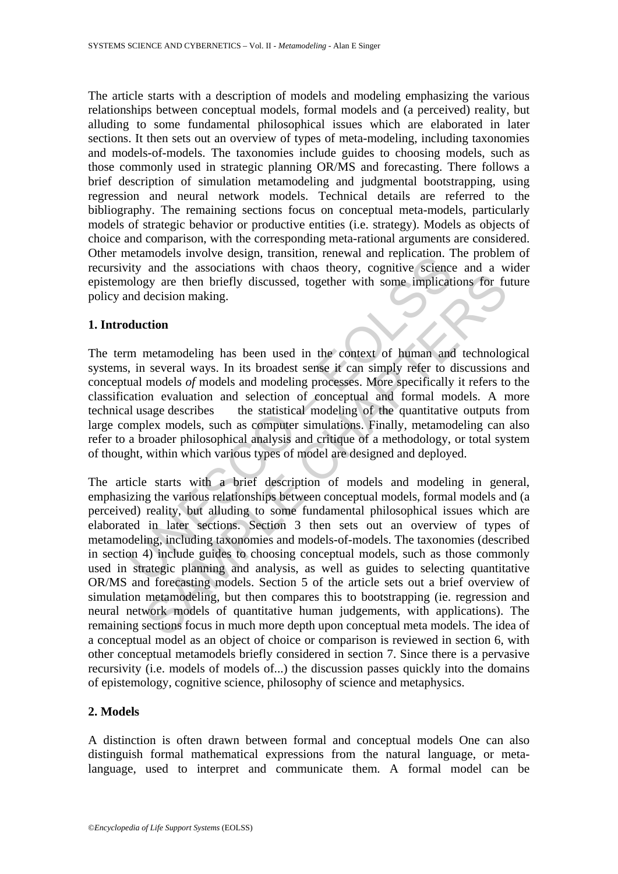The article starts with a description of models and modeling emphasizing the various relationships between conceptual models, formal models and (a perceived) reality, but alluding to some fundamental philosophical issues which are elaborated in later sections. It then sets out an overview of types of meta-modeling, including taxonomies and models-of-models. The taxonomies include guides to choosing models, such as those commonly used in strategic planning OR/MS and forecasting. There follows a brief description of simulation metamodeling and judgmental bootstrapping, using regression and neural network models. Technical details are referred to the bibliography. The remaining sections focus on conceptual meta-models, particularly models of strategic behavior or productive entities (i.e. strategy). Models as objects of choice and comparison, with the corresponding meta-rational arguments are considered. Other metamodels involve design, transition, renewal and replication. The problem of recursivity and the associations with chaos theory, cognitive science and a wider epistemology are then briefly discussed, together with some implications for future policy and decision making.

### **1. Introduction**

entantoues involve usage, utansition, renewal and replication. In<br>tity and the associations with chaos theory, cognitive science<br>ology are then briefly discussed, together with some implication<br>ology are then briefly discu The term metamodeling has been used in the context of human and technological systems, in several ways. In its broadest sense it can simply refer to discussions and conceptual models *of* models and modeling processes. More specifically it refers to the classification evaluation and selection of conceptual and formal models. A more technical usage describes the statistical modeling of the quantitative outputs from large complex models, such as computer simulations. Finally, metamodeling can also refer to a broader philosophical analysis and critique of a methodology, or total system of thought, within which various types of model are designed and deployed.

gy are then briefly discussed, together with some implications for fudecision making.<br>
to decision making.<br>
to decision making.<br>
to decision making.<br>
to decision making.<br>
to decision making.<br>
to decision making a been used The article starts with a brief description of models and modeling in general, emphasizing the various relationships between conceptual models, formal models and (a perceived) reality, but alluding to some fundamental philosophical issues which are elaborated in later sections. Section 3 then sets out an overview of types of metamodeling, including taxonomies and models-of-models. The taxonomies (described in section 4) include guides to choosing conceptual models, such as those commonly used in strategic planning and analysis, as well as guides to selecting quantitative OR/MS and forecasting models. Section 5 of the article sets out a brief overview of simulation metamodeling, but then compares this to bootstrapping (ie. regression and neural network models of quantitative human judgements, with applications). The remaining sections focus in much more depth upon conceptual meta models. The idea of a conceptual model as an object of choice or comparison is reviewed in section 6, with other conceptual metamodels briefly considered in section 7. Since there is a pervasive recursivity (i.e. models of models of...) the discussion passes quickly into the domains of epistemology, cognitive science, philosophy of science and metaphysics.

### **2. Models**

A distinction is often drawn between formal and conceptual models One can also distinguish formal mathematical expressions from the natural language, or metalanguage, used to interpret and communicate them. A formal model can be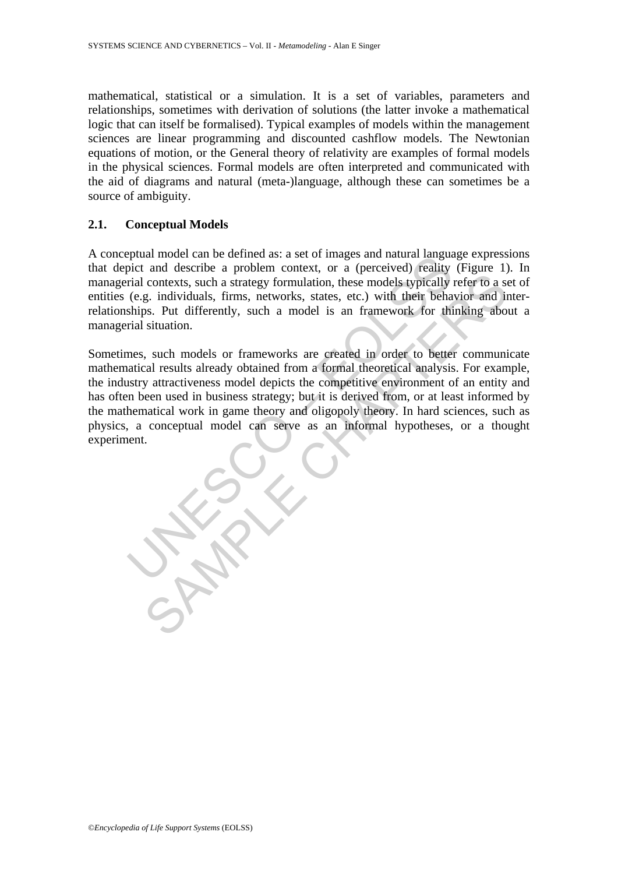mathematical, statistical or a simulation. It is a set of variables, parameters and relationships, sometimes with derivation of solutions (the latter invoke a mathematical logic that can itself be formalised). Typical examples of models within the management sciences are linear programming and discounted cashflow models. The Newtonian equations of motion, or the General theory of relativity are examples of formal models in the physical sciences. Formal models are often interpreted and communicated with the aid of diagrams and natural (meta-)language, although these can sometimes be a source of ambiguity.

## **2.1. Conceptual Models**

A conceptual model can be defined as: a set of images and natural language expressions that depict and describe a problem context, or a (perceived) reality (Figure 1). In managerial contexts, such a strategy formulation, these models typically refer to a set of entities (e.g. individuals, firms, networks, states, etc.) with their behavior and interrelationships. Put differently, such a model is an framework for thinking about a managerial situation.

pluat model can be denined as: a set on miages and natural rangual<br>pict and describe a problem context, or a (perceived) reality<br>rial contexts, such a strategy formulation, these models typically<br>(e.g. individuals, firms, contexts, such a strategy formulation, these models typically refer to a second contexts, such a strategy formulation, these models typically refer to a second interval and interval and the second interval and the sign int Sometimes, such models or frameworks are created in order to better communicate mathematical results already obtained from a formal theoretical analysis. For example, the industry attractiveness model depicts the competitive environment of an entity and has often been used in business strategy; but it is derived from, or at least informed by the mathematical work in game theory and oligopoly theory. In hard sciences, such as physics, a conceptual model can serve as an informal hypotheses, or a thought experiment.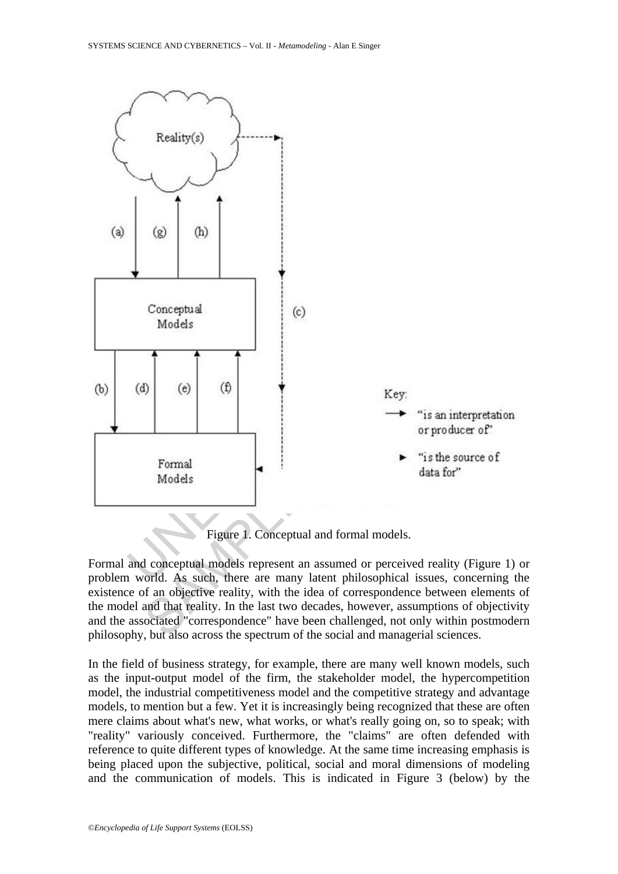

Figure 1. Conceptual and formal models.

Formal and conceptual models represent an assumed or perceived reality (Figure 1) or problem world. As such, there are many latent philosophical issues, concerning the existence of an objective reality, with the idea of correspondence between elements of the model and that reality. In the last two decades, however, assumptions of objectivity and the associated "correspondence" have been challenged, not only within postmodern philosophy, but also across the spectrum of the social and managerial sciences.

In the field of business strategy, for example, there are many well known models, such as the input-output model of the firm, the stakeholder model, the hypercompetition model, the industrial competitiveness model and the competitive strategy and advantage models, to mention but a few. Yet it is increasingly being recognized that these are often mere claims about what's new, what works, or what's really going on, so to speak; with "reality" variously conceived. Furthermore, the "claims" are often defended with reference to quite different types of knowledge. At the same time increasing emphasis is being placed upon the subjective, political, social and moral dimensions of modeling and the communication of models. This is indicated in Figure 3 (below) by the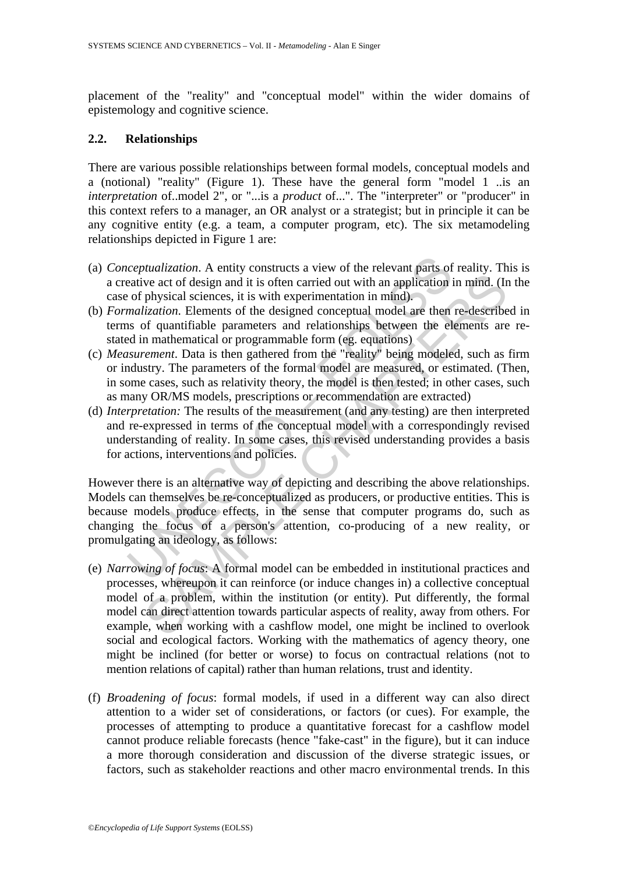placement of the "reality" and "conceptual model" within the wider domains of epistemology and cognitive science.

## **2.2. Relationships**

There are various possible relationships between formal models, conceptual models and a (notional) "reality" (Figure 1). These have the general form "model 1 ..is an *interpretation* of ..model 2", or "...is a *product* of ...". The "interpreter" or "producer" in this context refers to a manager, an OR analyst or a strategist; but in principle it can be any cognitive entity (e.g. a team, a computer program, etc). The six metamodeling relationships depicted in Figure 1 are:

- (a) *Conceptualization*. A entity constructs a view of the relevant parts of reality. This is a creative act of design and it is often carried out with an application in mind. (In the case of physical sciences, it is with experimentation in mind).
- (b) *Formalization*. Elements of the designed conceptual model are then re-described in terms of quantifiable parameters and relationships between the elements are restated in mathematical or programmable form (eg. equations)
- (c) *Measurement*. Data is then gathered from the "reality" being modeled, such as firm or industry. The parameters of the formal model are measured, or estimated. (Then, in some cases, such as relativity theory, the model is then tested; in other cases, such as many OR/MS models, prescriptions or recommendation are extracted)
- (d) *Interpretation:* The results of the measurement (and any testing) are then interpreted and re-expressed in terms of the conceptual model with a correspondingly revised understanding of reality. In some cases, this revised understanding provides a basis for actions, interventions and policies.

*ceptualization*. A entity constructs a view of the relevant parts of eative act of design and it is often carried out with an application i of physical sciences, it is with experimentation in mind). *malization*. Elements However there is an alternative way of depicting and describing the above relationships. Models can themselves be re-conceptualized as producers, or productive entities. This is because models produce effects, in the sense that computer programs do, such as changing the focus of a person's attention, co-producing of a new reality, or promulgating an ideology, as follows:

- we act of design and it is often carried out with an application in mind. (In physical sciences, it is with experimentation in mind). The physical sciences, it is with experimentation in mind). (In physical sciences, it i (e) *Narrowing of focus*: A formal model can be embedded in institutional practices and processes, whereupon it can reinforce (or induce changes in) a collective conceptual model of a problem, within the institution (or entity). Put differently, the formal model can direct attention towards particular aspects of reality, away from others. For example, when working with a cashflow model, one might be inclined to overlook social and ecological factors. Working with the mathematics of agency theory, one might be inclined (for better or worse) to focus on contractual relations (not to mention relations of capital) rather than human relations, trust and identity.
- (f) *Broadening of focus*: formal models, if used in a different way can also direct attention to a wider set of considerations, or factors (or cues). For example, the processes of attempting to produce a quantitative forecast for a cashflow model cannot produce reliable forecasts (hence "fake-cast" in the figure), but it can induce a more thorough consideration and discussion of the diverse strategic issues, or factors, such as stakeholder reactions and other macro environmental trends. In this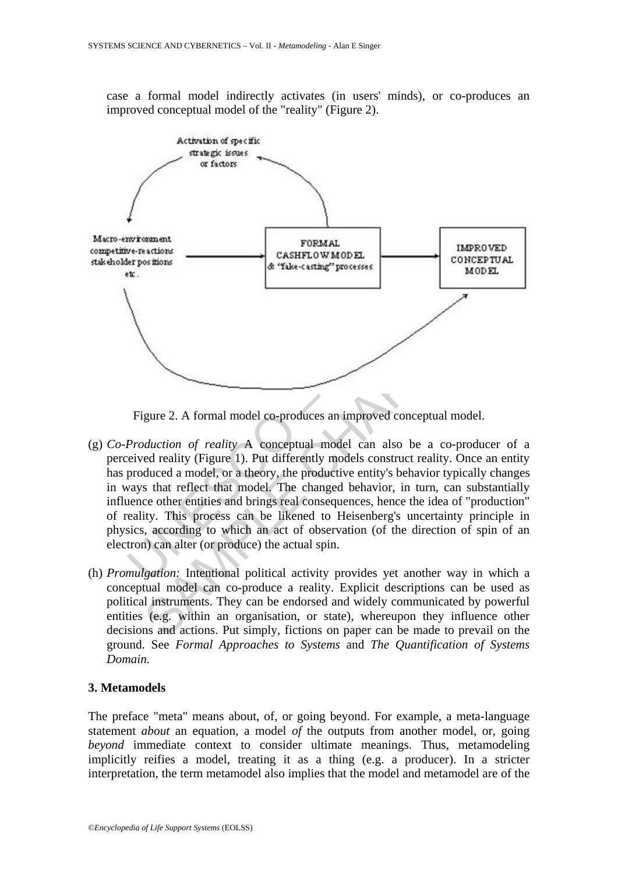case a formal model indirectly activates (in users' minds), or co-produces an improved conceptual model of the "reality" (Figure 2).



Figure 2. A formal model co-produces an improved conceptual model.

- (g) *Co-Production of reality* A conceptual model can also be a co-producer of a perceived reality (Figure 1). Put differently models construct reality. Once an entity has produced a model, or a theory, the productive entity's behavior typically changes in ways that reflect that model. The changed behavior, in turn, can substantially influence other entities and brings real consequences, hence the idea of "production" of reality. This process can be likened to Heisenberg's uncertainty principle in physics, according to which an act of observation (of the direction of spin of an electron) can alter (or produce) the actual spin.
- (h) *Promulgation:* Intentional political activity provides yet another way in which a conceptual model can co-produce a reality. Explicit descriptions can be used as political instruments. They can be endorsed and widely communicated by powerful entities (e.g. within an organisation, or state), whereupon they influence other decisions and actions. Put simply, fictions on paper can be made to prevail on the ground. See *Formal Approaches to Systems* and *The Quantification of Systems Domain.*

### **3. Metamodels**

The preface "meta" means about, of, or going beyond. For example, a meta-language statement *about* an equation, a model *of* the outputs from another model, or, going *beyond* immediate context to consider ultimate meanings. Thus, metamodeling implicitly reifies a model, treating it as a thing (e.g. a producer). In a stricter interpretation, the term metamodel also implies that the model and metamodel are of the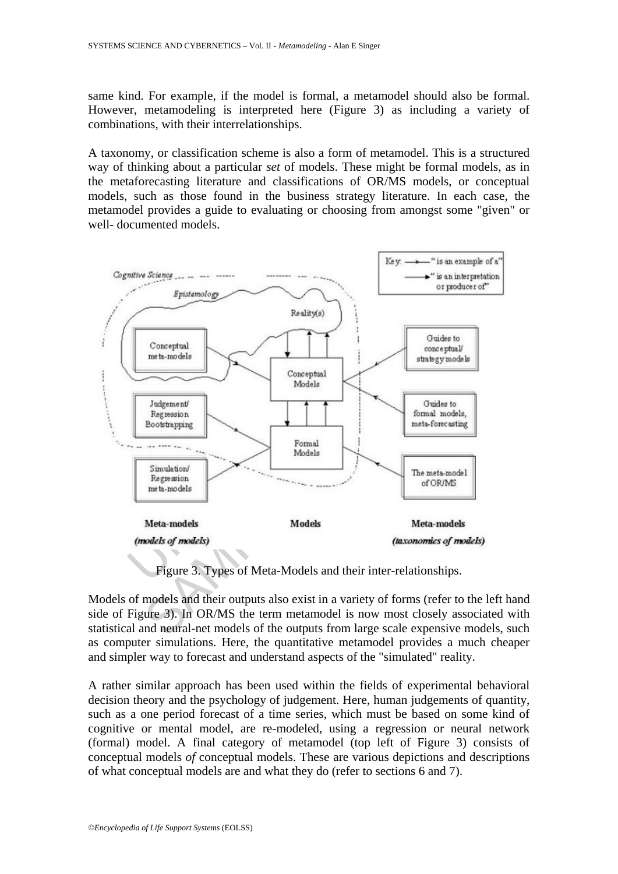same kind. For example, if the model is formal, a metamodel should also be formal. However, metamodeling is interpreted here (Figure 3) as including a variety of combinations, with their interrelationships.

A taxonomy, or classification scheme is also a form of metamodel. This is a structured way of thinking about a particular *set* of models. These might be formal models, as in the metaforecasting literature and classifications of OR/MS models, or conceptual models, such as those found in the business strategy literature. In each case, the metamodel provides a guide to evaluating or choosing from amongst some "given" or well- documented models.



Figure 3. Types of Meta-Models and their inter-relationships.

Models of models and their outputs also exist in a variety of forms (refer to the left hand side of Figure 3). In OR/MS the term metamodel is now most closely associated with statistical and neural-net models of the outputs from large scale expensive models, such as computer simulations. Here, the quantitative metamodel provides a much cheaper and simpler way to forecast and understand aspects of the "simulated" reality.

A rather similar approach has been used within the fields of experimental behavioral decision theory and the psychology of judgement. Here, human judgements of quantity, such as a one period forecast of a time series, which must be based on some kind of cognitive or mental model, are re-modeled, using a regression or neural network (formal) model. A final category of metamodel (top left of Figure 3) consists of conceptual models *of* conceptual models. These are various depictions and descriptions of what conceptual models are and what they do (refer to sections 6 and 7).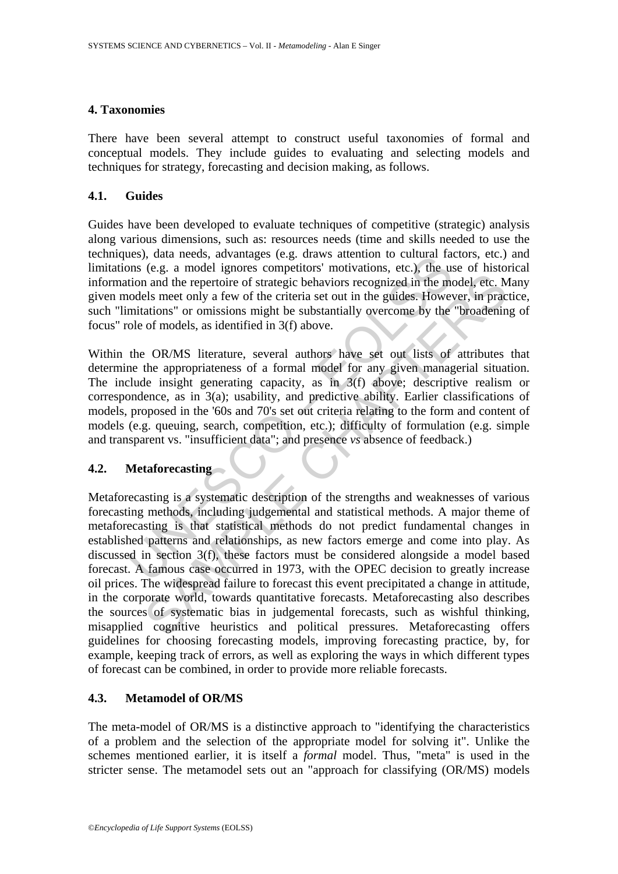### **4. Taxonomies**

There have been several attempt to construct useful taxonomies of formal and conceptual models. They include guides to evaluating and selecting models and techniques for strategy, forecasting and decision making, as follows.

### **4.1. Guides**

Guides have been developed to evaluate techniques of competitive (strategic) analysis along various dimensions, such as: resources needs (time and skills needed to use the techniques), data needs, advantages (e.g. draws attention to cultural factors, etc.) and limitations (e.g. a model ignores competitors' motivations, etc.), the use of historical information and the repertoire of strategic behaviors recognized in the model, etc. Many given models meet only a few of the criteria set out in the guides. However, in practice, such "limitations" or omissions might be substantially overcome by the "broadening of focus" role of models, as identified in 3(f) above.

The site are described in the consideration of cutural ratio, and lies, a a model ignores chegation's motivations, etc.), the usion and the repertiore of strategic behaviors recognized in the models meet only a few of the Within the OR/MS literature, several authors have set out lists of attributes that determine the appropriateness of a formal model for any given managerial situation. The include insight generating capacity, as in 3(f) above; descriptive realism or correspondence, as in 3(a); usability, and predictive ability. Earlier classifications of models, proposed in the '60s and 70's set out criteria relating to the form and content of models (e.g. queuing, search, competition, etc.); difficulty of formulation (e.g. simple and transparent vs. "insufficient data"; and presence *vs* absence of feedback.)

### **4.2. Metaforecasting**

(with the solution of the consideration of the solution of the solution and the repertorie of strategic behaviors recognized in the model, etc. Nels meet only a few of the criteria set out in the guides. However, in pract Metaforecasting is a systematic description of the strengths and weaknesses of various forecasting methods, including judgemental and statistical methods. A major theme of metaforecasting is that statistical methods do not predict fundamental changes in established patterns and relationships, as new factors emerge and come into play. As discussed in section 3(f), these factors must be considered alongside a model based forecast. A famous case occurred in 1973, with the OPEC decision to greatly increase oil prices. The widespread failure to forecast this event precipitated a change in attitude, in the corporate world, towards quantitative forecasts. Metaforecasting also describes the sources of systematic bias in judgemental forecasts, such as wishful thinking, misapplied cognitive heuristics and political pressures. Metaforecasting offers guidelines for choosing forecasting models, improving forecasting practice, by, for example, keeping track of errors, as well as exploring the ways in which different types of forecast can be combined, in order to provide more reliable forecasts.

## **4.3. Metamodel of OR/MS**

The meta-model of OR/MS is a distinctive approach to "identifying the characteristics of a problem and the selection of the appropriate model for solving it". Unlike the schemes mentioned earlier, it is itself a *formal* model. Thus, "meta" is used in the stricter sense. The metamodel sets out an "approach for classifying (OR/MS) models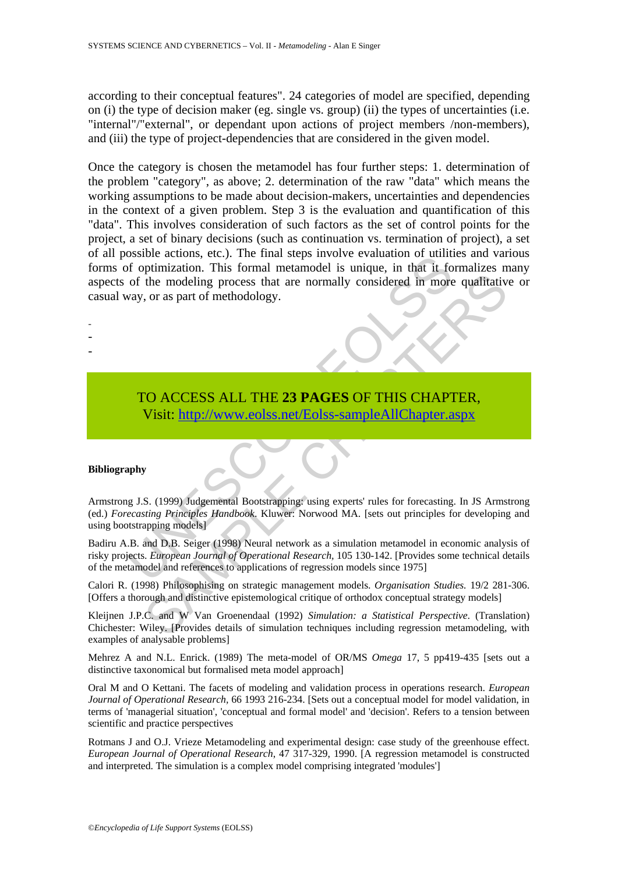according to their conceptual features". 24 categories of model are specified, depending on (i) the type of decision maker (eg. single vs. group) (ii) the types of uncertainties (i.e. "internal"/"external", or dependant upon actions of project members /non-members), and (iii) the type of project-dependencies that are considered in the given model.

Solide actions, etc.). The final steps involve evaluation of unitarity of optimization. This formal metamodel is unique, in that it for optimization. This formal metamodel is unique, in that it for of the modeling process Once the category is chosen the metamodel has four further steps: 1. determination of the problem "category", as above; 2. determination of the raw "data" which means the working assumptions to be made about decision-makers, uncertainties and dependencies in the context of a given problem. Step 3 is the evaluation and quantification of this "data". This involves consideration of such factors as the set of control points for the project, a set of binary decisions (such as continuation vs. termination of project), a set of all possible actions, etc.). The final steps involve evaluation of utilities and various forms of optimization. This formal metamodel is unique, in that it formalizes many aspects of the modeling process that are normally considered in more qualitative or casual way, or as part of methodology.

TO ACCESS ALL THE **23 PAGES** OF THIS CHAPTER, Visit: http://www.eolss.net/Eolss-sampleAllChapter.aspx

#### **Bibliography**

- - -

The modeling process that are normally considered in more qualitative, or as part of methodology.<br>
S. (1999) Judgemental Boostnephine using expects THIS [CHAP](https://www.eolss.net/ebooklib/sc_cart.aspx?File=E6-46-02-03)TER,<br>
S. (1999) Judgemental Boostnephine using expects The SCHAPT Armstrong J.S. (1999) Judgemental Bootstrapping: using experts' rules for forecasting. In JS Armstrong (ed.) *Forecasting Principles Handbook*. Kluwer: Norwood MA. [sets out principles for developing and using bootstrapping models]

Badiru A.B. and D.B. Seiger (1998) Neural network as a simulation metamodel in economic analysis of risky projects. *European Journal of Operational Research,* 105 130-142. [Provides some technical details of the metamodel and references to applications of regression models since 1975]

Calori R. (1998) Philosophising on strategic management models. *Organisation Studies.* 19/2 281-306. [Offers a thorough and distinctive epistemological critique of orthodox conceptual strategy models]

Kleijnen J.P.C. and W Van Groenendaal (1992) *Simulation: a Statistical Perspective*. (Translation) Chichester: Wiley. [Provides details of simulation techniques including regression metamodeling, with examples of analysable problems]

Mehrez A and N.L. Enrick. (1989) The meta-model of OR/MS *Omega* 17, 5 pp419-435 [sets out a distinctive taxonomical but formalised meta model approach]

Oral M and O Kettani. The facets of modeling and validation process in operations research. *European Journal of Operational Research,* 66 1993 216-234. [Sets out a conceptual model for model validation, in terms of 'managerial situation', 'conceptual and formal model' and 'decision'. Refers to a tension between scientific and practice perspectives

Rotmans J and O.J. Vrieze Metamodeling and experimental design: case study of the greenhouse effect. *European Journal of Operational Research*, 47 317-329, 1990. [A regression metamodel is constructed and interpreted. The simulation is a complex model comprising integrated 'modules']